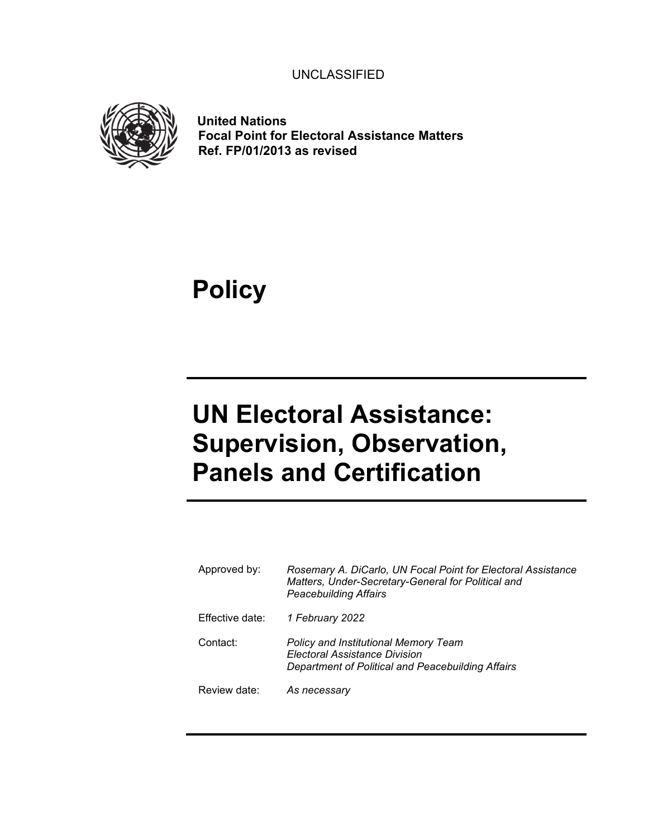UNCLASSIFIED



 **United Nations Focal Point for Electoral Assistance Matters Ref. FP/01/2013 as revised** 

**Policy** 

# **UN Electoral Assistance: Supervision, Observation, Panels and Certification**

| Approved by:    | Rosemary A. DiCarlo, UN Focal Point for Electoral Assistance<br>Matters, Under-Secretary-General for Political and<br><b>Peacebuilding Affairs</b> |
|-----------------|----------------------------------------------------------------------------------------------------------------------------------------------------|
| Effective date: | 1 February 2022                                                                                                                                    |
| Contact:        | <b>Policy and Institutional Memory Team</b><br>Electoral Assistance Division<br>Department of Political and Peacebuilding Affairs                  |
| Review date:    | As necessary                                                                                                                                       |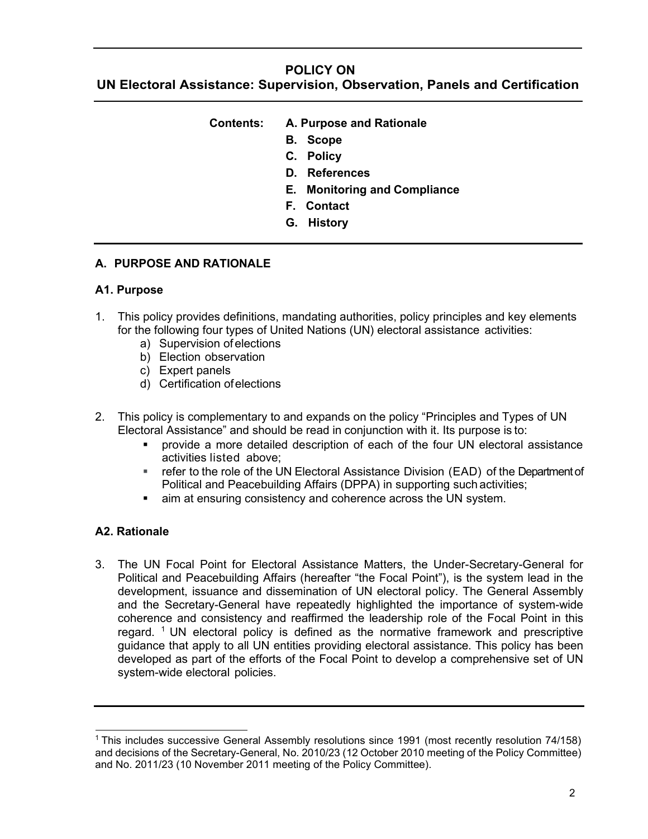# **POLICY ON**

# **UN Electoral Assistance: Supervision, Observation, Panels and Certification**

| <b>Contents:</b> | A. Purpose and Rationale            |
|------------------|-------------------------------------|
|                  | <b>Scope</b><br>В.                  |
|                  | C. Policy                           |
|                  | D. References                       |
|                  | <b>E.</b> Monitoring and Compliance |
|                  | <b>F.</b> Contact                   |
|                  | G. History                          |

## **A. PURPOSE AND RATIONALE**

#### **A1. Purpose**

- 1. This policy provides definitions, mandating authorities, policy principles and key elements for the following four types of United Nations (UN) electoral assistance activities:
	- a) Supervision of elections
	- b) Election observation
	- c) Expert panels
	- d) Certification of elections
- 2. This policy is complementary to and expands on the policy "Principles and Types of UN Electoral Assistance" and should be read in conjunction with it. Its purpose is to:
	- provide a more detailed description of each of the four UN electoral assistance activities listed above;
	- **F** refer to the role of the UN Electoral Assistance Division (EAD) of the Department of Political and Peacebuilding Affairs (DPPA) in supporting such activities;
	- aim at ensuring consistency and coherence across the UN system.

# **A2. Rationale**

3. The UN Focal Point for Electoral Assistance Matters, the Under-Secretary-General for Political and Peacebuilding Affairs (hereafter "the Focal Point"), is the system lead in the development, issuance and dissemination of UN electoral policy. The General Assembly and the Secretary-General have repeatedly highlighted the importance of system-wide coherence and consistency and reaffirmed the leadership role of the Focal Point in this regard. <sup>1</sup> UN electoral policy is defined as the normative framework and prescriptive guidance that apply to all UN entities providing electoral assistance. This policy has been developed as part of the efforts of the Focal Point to develop a comprehensive set of UN system-wide electoral policies.

<sup>&</sup>lt;sup>1</sup> This includes successive General Assembly resolutions since 1991 (most recently resolution 74/158) and decisions of the Secretary-General, No. 2010/23 (12 October 2010 meeting of the Policy Committee) and No. 2011/23 (10 November 2011 meeting of the Policy Committee).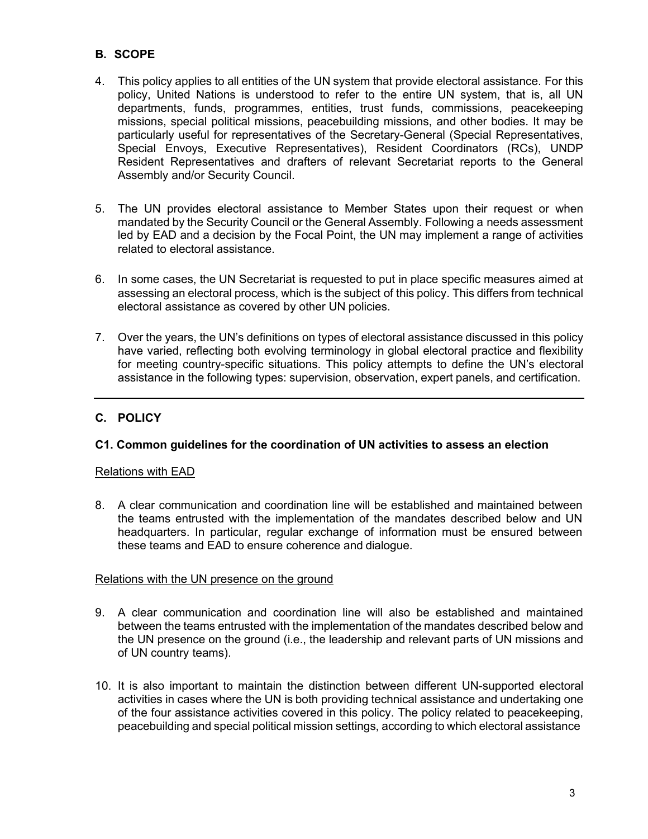# **B. SCOPE**

- 4. This policy applies to all entities of the UN system that provide electoral assistance. For this policy, United Nations is understood to refer to the entire UN system, that is, all UN departments, funds, programmes, entities, trust funds, commissions, peacekeeping missions, special political missions, peacebuilding missions, and other bodies. It may be particularly useful for representatives of the Secretary-General (Special Representatives, Special Envoys, Executive Representatives), Resident Coordinators (RCs), UNDP Resident Representatives and drafters of relevant Secretariat reports to the General Assembly and/or Security Council.
- 5. The UN provides electoral assistance to Member States upon their request or when mandated by the Security Council or the General Assembly. Following a needs assessment led by EAD and a decision by the Focal Point, the UN may implement a range of activities related to electoral assistance.
- 6. In some cases, the UN Secretariat is requested to put in place specific measures aimed at assessing an electoral process, which is the subject of this policy. This differs from technical electoral assistance as covered by other UN policies.
- 7. Over the years, the UN's definitions on types of electoral assistance discussed in this policy have varied, reflecting both evolving terminology in global electoral practice and flexibility for meeting country-specific situations. This policy attempts to define the UN's electoral assistance in the following types: supervision, observation, expert panels, and certification.

# **C. POLICY**

#### **C1. Common guidelines for the coordination of UN activities to assess an election**

#### Relations with EAD

8. A clear communication and coordination line will be established and maintained between the teams entrusted with the implementation of the mandates described below and UN headquarters. In particular, regular exchange of information must be ensured between these teams and EAD to ensure coherence and dialogue.

#### Relations with the UN presence on the ground

- 9. A clear communication and coordination line will also be established and maintained between the teams entrusted with the implementation of the mandates described below and the UN presence on the ground (i.e., the leadership and relevant parts of UN missions and of UN country teams).
- 10. It is also important to maintain the distinction between different UN-supported electoral activities in cases where the UN is both providing technical assistance and undertaking one of the four assistance activities covered in this policy. The policy related to peacekeeping, peacebuilding and special political mission settings, according to which electoral assistance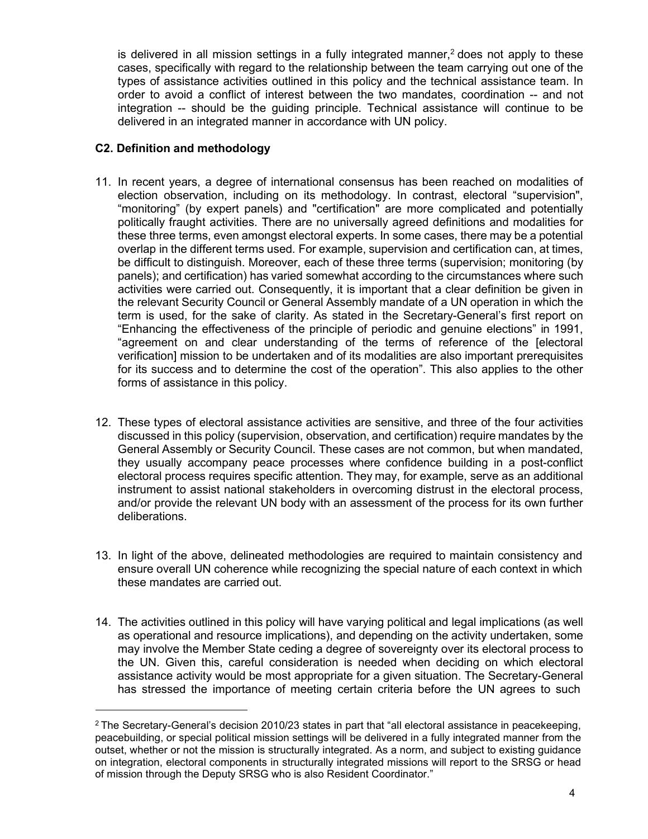is delivered in all mission settings in a fully integrated manner,<sup>2</sup> does not apply to these cases, specifically with regard to the relationship between the team carrying out one of the types of assistance activities outlined in this policy and the technical assistance team. In order to avoid a conflict of interest between the two mandates, coordination -- and not integration -- should be the guiding principle. Technical assistance will continue to be delivered in an integrated manner in accordance with UN policy.

## **C2. Definition and methodology**

- 11. In recent years, a degree of international consensus has been reached on modalities of election observation, including on its methodology. In contrast, electoral "supervision", "monitoring" (by expert panels) and "certification" are more complicated and potentially politically fraught activities. There are no universally agreed definitions and modalities for these three terms, even amongst electoral experts. In some cases, there may be a potential overlap in the different terms used. For example, supervision and certification can, at times, be difficult to distinguish. Moreover, each of these three terms (supervision; monitoring (by panels); and certification) has varied somewhat according to the circumstances where such activities were carried out. Consequently, it is important that a clear definition be given in the relevant Security Council or General Assembly mandate of a UN operation in which the term is used, for the sake of clarity. As stated in the Secretary-General's first report on "Enhancing the effectiveness of the principle of periodic and genuine elections" in 1991, "agreement on and clear understanding of the terms of reference of the [electoral verification] mission to be undertaken and of its modalities are also important prerequisites for its success and to determine the cost of the operation". This also applies to the other forms of assistance in this policy.
- 12. These types of electoral assistance activities are sensitive, and three of the four activities discussed in this policy (supervision, observation, and certification) require mandates by the General Assembly or Security Council. These cases are not common, but when mandated, they usually accompany peace processes where confidence building in a post-conflict electoral process requires specific attention. They may, for example, serve as an additional instrument to assist national stakeholders in overcoming distrust in the electoral process, and/or provide the relevant UN body with an assessment of the process for its own further deliberations.
- 13. In light of the above, delineated methodologies are required to maintain consistency and ensure overall UN coherence while recognizing the special nature of each context in which these mandates are carried out.
- 14. The activities outlined in this policy will have varying political and legal implications (as well as operational and resource implications), and depending on the activity undertaken, some may involve the Member State ceding a degree of sovereignty over its electoral process to the UN. Given this, careful consideration is needed when deciding on which electoral assistance activity would be most appropriate for a given situation. The Secretary-General has stressed the importance of meeting certain criteria before the UN agrees to such

<sup>&</sup>lt;sup>2</sup> The Secretary-General's decision 2010/23 states in part that "all electoral assistance in peacekeeping, peacebuilding, or special political mission settings will be delivered in a fully integrated manner from the outset, whether or not the mission is structurally integrated. As a norm, and subject to existing guidance on integration, electoral components in structurally integrated missions will report to the SRSG or head of mission through the Deputy SRSG who is also Resident Coordinator."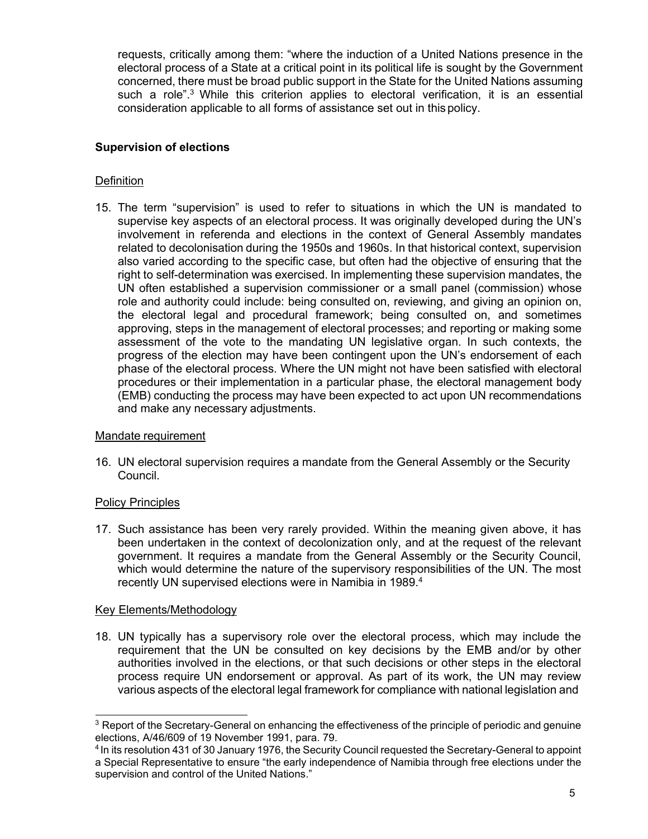requests, critically among them: "where the induction of a United Nations presence in the electoral process of a State at a critical point in its political life is sought by the Government concerned, there must be broad public support in the State for the United Nations assuming such a role".<sup>3</sup> While this criterion applies to electoral verification, it is an essential consideration applicable to all forms of assistance set out in this policy.

# **Supervision of elections**

#### Definition

15. The term "supervision" is used to refer to situations in which the UN is mandated to supervise key aspects of an electoral process. It was originally developed during the UN's involvement in referenda and elections in the context of General Assembly mandates related to decolonisation during the 1950s and 1960s. In that historical context, supervision also varied according to the specific case, but often had the objective of ensuring that the right to self-determination was exercised. In implementing these supervision mandates, the UN often established a supervision commissioner or a small panel (commission) whose role and authority could include: being consulted on, reviewing, and giving an opinion on, the electoral legal and procedural framework; being consulted on, and sometimes approving, steps in the management of electoral processes; and reporting or making some assessment of the vote to the mandating UN legislative organ. In such contexts, the progress of the election may have been contingent upon the UN's endorsement of each phase of the electoral process. Where the UN might not have been satisfied with electoral procedures or their implementation in a particular phase, the electoral management body (EMB) conducting the process may have been expected to act upon UN recommendations and make any necessary adjustments.

#### Mandate requirement

16. UN electoral supervision requires a mandate from the General Assembly or the Security Council.

# Policy Principles

17. Such assistance has been very rarely provided. Within the meaning given above, it has been undertaken in the context of decolonization only, and at the request of the relevant government. It requires a mandate from the General Assembly or the Security Council, which would determine the nature of the supervisory responsibilities of the UN. The most recently UN supervised elections were in Namibia in 1989.<sup>4</sup>

# Key Elements/Methodology

18. UN typically has a supervisory role over the electoral process, which may include the requirement that the UN be consulted on key decisions by the EMB and/or by other authorities involved in the elections, or that such decisions or other steps in the electoral process require UN endorsement or approval. As part of its work, the UN may review various aspects of the electoral legal framework for compliance with national legislation and

 $3$  Report of the Secretary-General on enhancing the effectiveness of the principle of periodic and genuine elections, A/46/609 of 19 November 1991, para. 79.

<sup>4</sup>In its resolution 431 of 30 January 1976, the Security Council requested the Secretary-General to appoint a Special Representative to ensure "the early independence of Namibia through free elections under the supervision and control of the United Nations."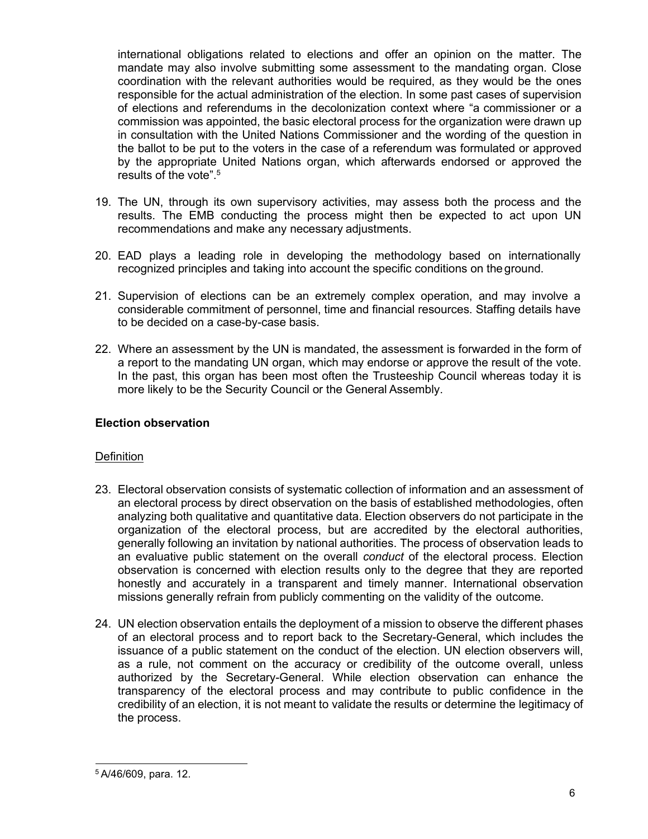international obligations related to elections and offer an opinion on the matter. The mandate may also involve submitting some assessment to the mandating organ. Close coordination with the relevant authorities would be required, as they would be the ones responsible for the actual administration of the election. In some past cases of supervision of elections and referendums in the decolonization context where "a commissioner or a commission was appointed, the basic electoral process for the organization were drawn up in consultation with the United Nations Commissioner and the wording of the question in the ballot to be put to the voters in the case of a referendum was formulated or approved by the appropriate United Nations organ, which afterwards endorsed or approved the results of the vote".<sup>5</sup>

- 19. The UN, through its own supervisory activities, may assess both the process and the results. The EMB conducting the process might then be expected to act upon UN recommendations and make any necessary adjustments.
- 20. EAD plays a leading role in developing the methodology based on internationally recognized principles and taking into account the specific conditions on the ground.
- 21. Supervision of elections can be an extremely complex operation, and may involve a considerable commitment of personnel, time and financial resources. Staffing details have to be decided on a case-by-case basis.
- 22. Where an assessment by the UN is mandated, the assessment is forwarded in the form of a report to the mandating UN organ, which may endorse or approve the result of the vote. In the past, this organ has been most often the Trusteeship Council whereas today it is more likely to be the Security Council or the General Assembly.

#### **Election observation**

#### Definition

- 23. Electoral observation consists of systematic collection of information and an assessment of an electoral process by direct observation on the basis of established methodologies, often analyzing both qualitative and quantitative data. Election observers do not participate in the organization of the electoral process, but are accredited by the electoral authorities, generally following an invitation by national authorities. The process of observation leads to an evaluative public statement on the overall *conduct* of the electoral process. Election observation is concerned with election results only to the degree that they are reported honestly and accurately in a transparent and timely manner. International observation missions generally refrain from publicly commenting on the validity of the outcome.
- 24. UN election observation entails the deployment of a mission to observe the different phases of an electoral process and to report back to the Secretary-General, which includes the issuance of a public statement on the conduct of the election. UN election observers will, as a rule, not comment on the accuracy or credibility of the outcome overall, unless authorized by the Secretary-General. While election observation can enhance the transparency of the electoral process and may contribute to public confidence in the credibility of an election, it is not meant to validate the results or determine the legitimacy of the process.

<sup>5</sup> A/46/609, para. 12.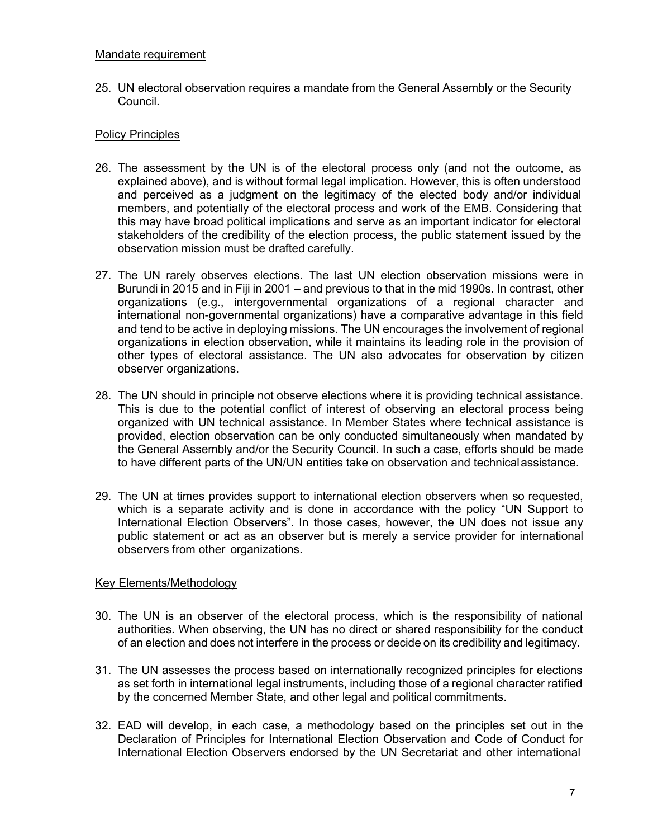#### Mandate requirement

25. UN electoral observation requires a mandate from the General Assembly or the Security Council.

## Policy Principles

- 26. The assessment by the UN is of the electoral process only (and not the outcome, as explained above), and is without formal legal implication. However, this is often understood and perceived as a judgment on the legitimacy of the elected body and/or individual members, and potentially of the electoral process and work of the EMB. Considering that this may have broad political implications and serve as an important indicator for electoral stakeholders of the credibility of the election process, the public statement issued by the observation mission must be drafted carefully.
- 27. The UN rarely observes elections. The last UN election observation missions were in Burundi in 2015 and in Fiji in 2001 – and previous to that in the mid 1990s. In contrast, other organizations (e.g., intergovernmental organizations of a regional character and international non-governmental organizations) have a comparative advantage in this field and tend to be active in deploying missions. The UN encourages the involvement of regional organizations in election observation, while it maintains its leading role in the provision of other types of electoral assistance. The UN also advocates for observation by citizen observer organizations.
- 28. The UN should in principle not observe elections where it is providing technical assistance. This is due to the potential conflict of interest of observing an electoral process being organized with UN technical assistance. In Member States where technical assistance is provided, election observation can be only conducted simultaneously when mandated by the General Assembly and/or the Security Council. In such a case, efforts should be made to have different parts of the UN/UN entities take on observation and technical assistance.
- 29. The UN at times provides support to international election observers when so requested, which is a separate activity and is done in accordance with the policy "UN Support to International Election Observers". In those cases, however, the UN does not issue any public statement or act as an observer but is merely a service provider for international observers from other organizations.

#### Key Elements/Methodology

- 30. The UN is an observer of the electoral process, which is the responsibility of national authorities. When observing, the UN has no direct or shared responsibility for the conduct of an election and does not interfere in the process or decide on its credibility and legitimacy.
- 31. The UN assesses the process based on internationally recognized principles for elections as set forth in international legal instruments, including those of a regional character ratified by the concerned Member State, and other legal and political commitments.
- 32. EAD will develop, in each case, a methodology based on the principles set out in the Declaration of Principles for International Election Observation and Code of Conduct for International Election Observers endorsed by the UN Secretariat and other international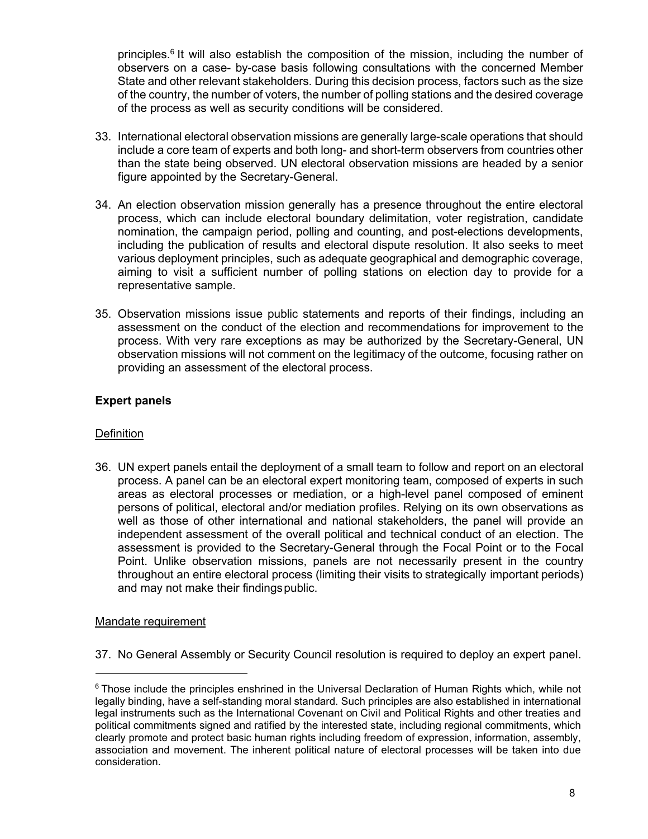principles.<sup>6</sup> It will also establish the composition of the mission, including the number of observers on a case- by-case basis following consultations with the concerned Member State and other relevant stakeholders. During this decision process, factors such as the size of the country, the number of voters, the number of polling stations and the desired coverage of the process as well as security conditions will be considered.

- 33. International electoral observation missions are generally large-scale operations that should include a core team of experts and both long- and short-term observers from countries other than the state being observed. UN electoral observation missions are headed by a senior figure appointed by the Secretary-General.
- 34. An election observation mission generally has a presence throughout the entire electoral process, which can include electoral boundary delimitation, voter registration, candidate nomination, the campaign period, polling and counting, and post-elections developments, including the publication of results and electoral dispute resolution. It also seeks to meet various deployment principles, such as adequate geographical and demographic coverage, aiming to visit a sufficient number of polling stations on election day to provide for a representative sample.
- 35. Observation missions issue public statements and reports of their findings, including an assessment on the conduct of the election and recommendations for improvement to the process. With very rare exceptions as may be authorized by the Secretary-General, UN observation missions will not comment on the legitimacy of the outcome, focusing rather on providing an assessment of the electoral process.

# **Expert panels**

#### **Definition**

36. UN expert panels entail the deployment of a small team to follow and report on an electoral process. A panel can be an electoral expert monitoring team, composed of experts in such areas as electoral processes or mediation, or a high-level panel composed of eminent persons of political, electoral and/or mediation profiles. Relying on its own observations as well as those of other international and national stakeholders, the panel will provide an independent assessment of the overall political and technical conduct of an election. The assessment is provided to the Secretary-General through the Focal Point or to the Focal Point. Unlike observation missions, panels are not necessarily present in the country throughout an entire electoral process (limiting their visits to strategically important periods) and may not make their findings public.

#### Mandate requirement

37. No General Assembly or Security Council resolution is required to deploy an expert panel.

 $6$ Those include the principles enshrined in the Universal Declaration of Human Rights which, while not legally binding, have a self-standing moral standard. Such principles are also established in international legal instruments such as the International Covenant on Civil and Political Rights and other treaties and political commitments signed and ratified by the interested state, including regional commitments, which clearly promote and protect basic human rights including freedom of expression, information, assembly, association and movement. The inherent political nature of electoral processes will be taken into due consideration.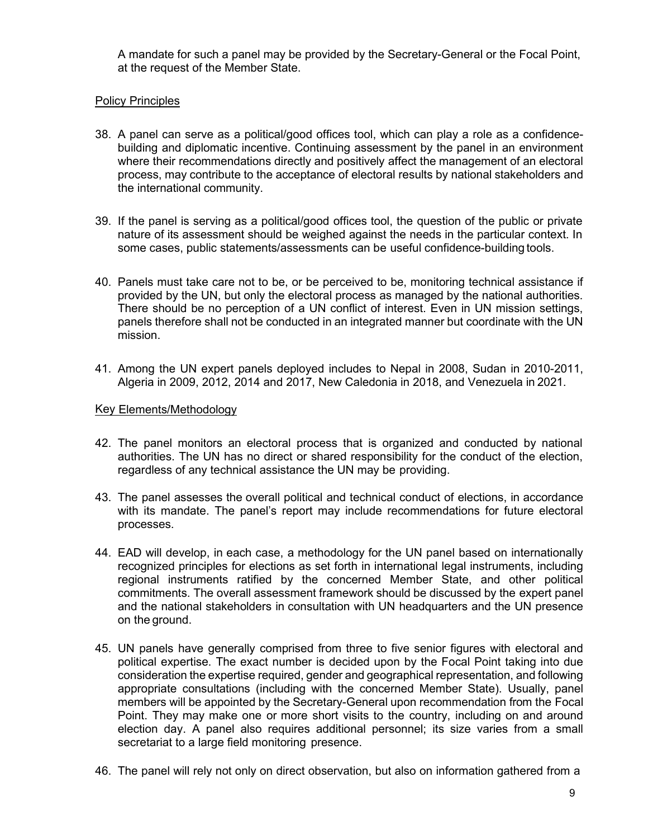A mandate for such a panel may be provided by the Secretary-General or the Focal Point, at the request of the Member State.

#### Policy Principles

- 38. A panel can serve as a political/good offices tool, which can play a role as a confidencebuilding and diplomatic incentive. Continuing assessment by the panel in an environment where their recommendations directly and positively affect the management of an electoral process, may contribute to the acceptance of electoral results by national stakeholders and the international community.
- 39. If the panel is serving as a political/good offices tool, the question of the public or private nature of its assessment should be weighed against the needs in the particular context. In some cases, public statements/assessments can be useful confidence-building tools.
- 40. Panels must take care not to be, or be perceived to be, monitoring technical assistance if provided by the UN, but only the electoral process as managed by the national authorities. There should be no perception of a UN conflict of interest. Even in UN mission settings, panels therefore shall not be conducted in an integrated manner but coordinate with the UN mission.
- 41. Among the UN expert panels deployed includes to Nepal in 2008, Sudan in 2010-2011, Algeria in 2009, 2012, 2014 and 2017, New Caledonia in 2018, and Venezuela in 2021.

#### Key Elements/Methodology

- 42. The panel monitors an electoral process that is organized and conducted by national authorities. The UN has no direct or shared responsibility for the conduct of the election, regardless of any technical assistance the UN may be providing.
- 43. The panel assesses the overall political and technical conduct of elections, in accordance with its mandate. The panel's report may include recommendations for future electoral processes.
- 44. EAD will develop, in each case, a methodology for the UN panel based on internationally recognized principles for elections as set forth in international legal instruments, including regional instruments ratified by the concerned Member State, and other political commitments. The overall assessment framework should be discussed by the expert panel and the national stakeholders in consultation with UN headquarters and the UN presence on the ground.
- 45. UN panels have generally comprised from three to five senior figures with electoral and political expertise. The exact number is decided upon by the Focal Point taking into due consideration the expertise required, gender and geographical representation, and following appropriate consultations (including with the concerned Member State). Usually, panel members will be appointed by the Secretary-General upon recommendation from the Focal Point. They may make one or more short visits to the country, including on and around election day. A panel also requires additional personnel; its size varies from a small secretariat to a large field monitoring presence.
- 46. The panel will rely not only on direct observation, but also on information gathered from a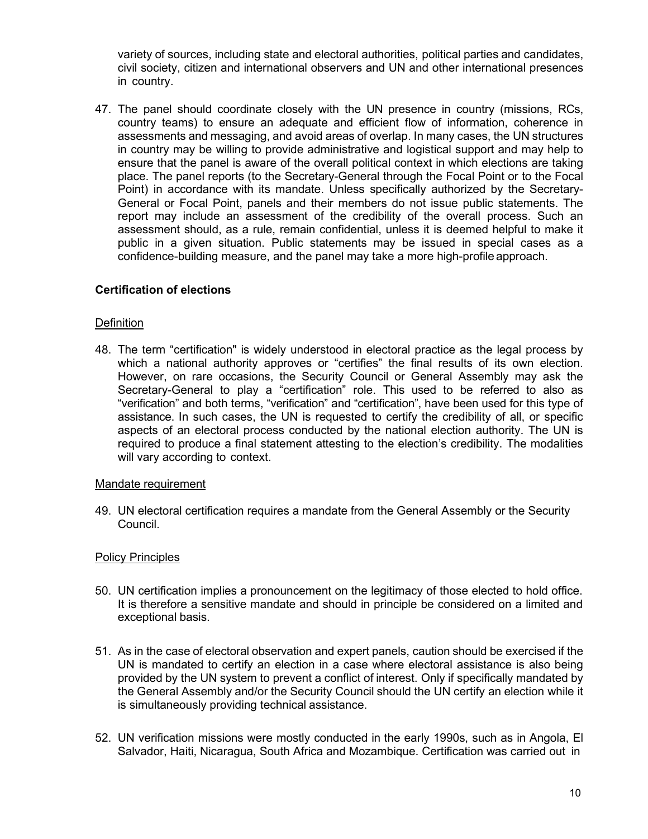variety of sources, including state and electoral authorities, political parties and candidates, civil society, citizen and international observers and UN and other international presences in country.

47. The panel should coordinate closely with the UN presence in country (missions, RCs, country teams) to ensure an adequate and efficient flow of information, coherence in assessments and messaging, and avoid areas of overlap. In many cases, the UN structures in country may be willing to provide administrative and logistical support and may help to ensure that the panel is aware of the overall political context in which elections are taking place. The panel reports (to the Secretary-General through the Focal Point or to the Focal Point) in accordance with its mandate. Unless specifically authorized by the Secretary-General or Focal Point, panels and their members do not issue public statements. The report may include an assessment of the credibility of the overall process. Such an assessment should, as a rule, remain confidential, unless it is deemed helpful to make it public in a given situation. Public statements may be issued in special cases as a confidence-building measure, and the panel may take a more high-profile approach.

#### **Certification of elections**

#### **Definition**

48. The term "certification" is widely understood in electoral practice as the legal process by which a national authority approves or "certifies" the final results of its own election. However, on rare occasions, the Security Council or General Assembly may ask the Secretary-General to play a "certification" role. This used to be referred to also as "verification" and both terms, "verification" and "certification", have been used for this type of assistance. In such cases, the UN is requested to certify the credibility of all, or specific aspects of an electoral process conducted by the national election authority. The UN is required to produce a final statement attesting to the election's credibility. The modalities will vary according to context.

#### Mandate requirement

49. UN electoral certification requires a mandate from the General Assembly or the Security Council.

#### Policy Principles

- 50. UN certification implies a pronouncement on the legitimacy of those elected to hold office. It is therefore a sensitive mandate and should in principle be considered on a limited and exceptional basis.
- 51. As in the case of electoral observation and expert panels, caution should be exercised if the UN is mandated to certify an election in a case where electoral assistance is also being provided by the UN system to prevent a conflict of interest. Only if specifically mandated by the General Assembly and/or the Security Council should the UN certify an election while it is simultaneously providing technical assistance.
- 52. UN verification missions were mostly conducted in the early 1990s, such as in Angola, El Salvador, Haiti, Nicaragua, South Africa and Mozambique. Certification was carried out in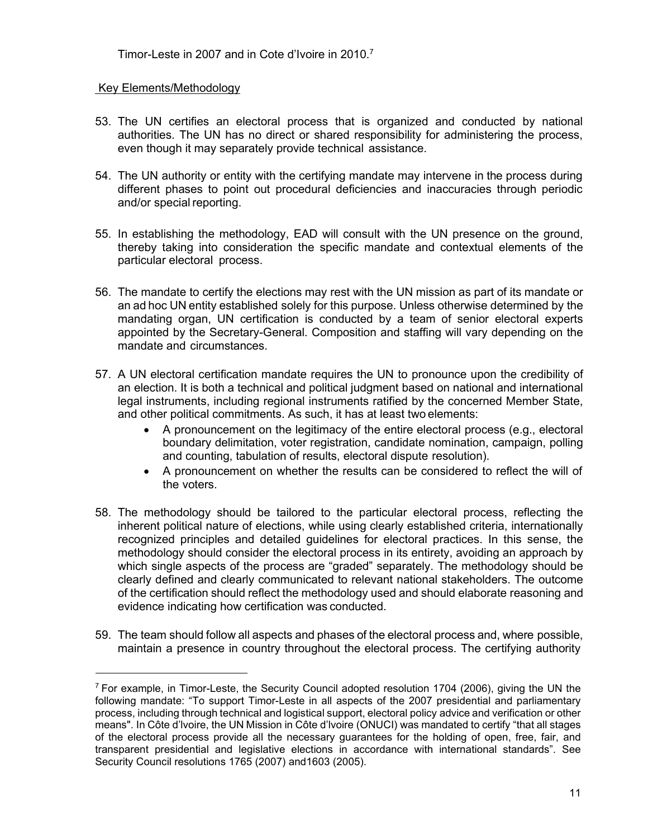Timor-Leste in 2007 and in Cote d'Ivoire in 2010.<sup>7</sup>

#### Key Elements/Methodology

- 53. The UN certifies an electoral process that is organized and conducted by national authorities. The UN has no direct or shared responsibility for administering the process, even though it may separately provide technical assistance.
- 54. The UN authority or entity with the certifying mandate may intervene in the process during different phases to point out procedural deficiencies and inaccuracies through periodic and/or special reporting.
- 55. In establishing the methodology, EAD will consult with the UN presence on the ground, thereby taking into consideration the specific mandate and contextual elements of the particular electoral process.
- 56. The mandate to certify the elections may rest with the UN mission as part of its mandate or an ad hoc UN entity established solely for this purpose. Unless otherwise determined by the mandating organ, UN certification is conducted by a team of senior electoral experts appointed by the Secretary-General. Composition and staffing will vary depending on the mandate and circumstances.
- 57. A UN electoral certification mandate requires the UN to pronounce upon the credibility of an election. It is both a technical and political judgment based on national and international legal instruments, including regional instruments ratified by the concerned Member State, and other political commitments. As such, it has at least two elements:
	- A pronouncement on the legitimacy of the entire electoral process (e.g., electoral boundary delimitation, voter registration, candidate nomination, campaign, polling and counting, tabulation of results, electoral dispute resolution).
	- A pronouncement on whether the results can be considered to reflect the will of the voters.
- 58. The methodology should be tailored to the particular electoral process, reflecting the inherent political nature of elections, while using clearly established criteria, internationally recognized principles and detailed guidelines for electoral practices. In this sense, the methodology should consider the electoral process in its entirety, avoiding an approach by which single aspects of the process are "graded" separately. The methodology should be clearly defined and clearly communicated to relevant national stakeholders. The outcome of the certification should reflect the methodology used and should elaborate reasoning and evidence indicating how certification was conducted.
- 59. The team should follow all aspects and phases of the electoral process and, where possible, maintain a presence in country throughout the electoral process. The certifying authority

<sup>&</sup>lt;sup>7</sup> For example, in Timor-Leste, the Security Council adopted resolution 1704 (2006), giving the UN the following mandate: "To support Timor-Leste in all aspects of the 2007 presidential and parliamentary process, including through technical and logistical support, electoral policy advice and verification or other means". In Côte d'lvoire, the UN Mission in Côte d'lvoire (ONUCI) was mandated to certify "that all stages of the electoral process provide all the necessary guarantees for the holding of open, free, fair, and transparent presidential and legislative elections in accordance with international standards". See Security Council resolutions 1765 (2007) and1603 (2005).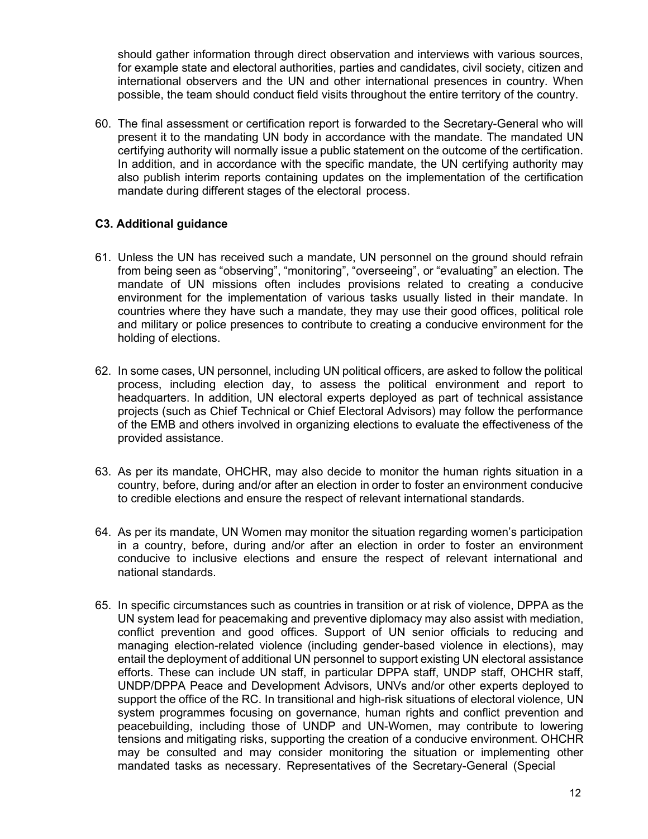should gather information through direct observation and interviews with various sources, for example state and electoral authorities, parties and candidates, civil society, citizen and international observers and the UN and other international presences in country. When possible, the team should conduct field visits throughout the entire territory of the country.

60. The final assessment or certification report is forwarded to the Secretary-General who will present it to the mandating UN body in accordance with the mandate. The mandated UN certifying authority will normally issue a public statement on the outcome of the certification. In addition, and in accordance with the specific mandate, the UN certifying authority may also publish interim reports containing updates on the implementation of the certification mandate during different stages of the electoral process.

#### **C3. Additional guidance**

- 61. Unless the UN has received such a mandate, UN personnel on the ground should refrain from being seen as "observing", "monitoring", "overseeing", or "evaluating" an election. The mandate of UN missions often includes provisions related to creating a conducive environment for the implementation of various tasks usually listed in their mandate. In countries where they have such a mandate, they may use their good offices, political role and military or police presences to contribute to creating a conducive environment for the holding of elections.
- 62. In some cases, UN personnel, including UN political officers, are asked to follow the political process, including election day, to assess the political environment and report to headquarters. In addition, UN electoral experts deployed as part of technical assistance projects (such as Chief Technical or Chief Electoral Advisors) may follow the performance of the EMB and others involved in organizing elections to evaluate the effectiveness of the provided assistance.
- 63. As per its mandate, OHCHR, may also decide to monitor the human rights situation in a country, before, during and/or after an election in order to foster an environment conducive to credible elections and ensure the respect of relevant international standards.
- 64. As per its mandate, UN Women may monitor the situation regarding women's participation in a country, before, during and/or after an election in order to foster an environment conducive to inclusive elections and ensure the respect of relevant international and national standards.
- 65. In specific circumstances such as countries in transition or at risk of violence, DPPA as the UN system lead for peacemaking and preventive diplomacy may also assist with mediation, conflict prevention and good offices. Support of UN senior officials to reducing and managing election-related violence (including gender-based violence in elections), may entail the deployment of additional UN personnel to support existing UN electoral assistance efforts. These can include UN staff, in particular DPPA staff, UNDP staff, OHCHR staff, UNDP/DPPA Peace and Development Advisors, UNVs and/or other experts deployed to support the office of the RC. In transitional and high-risk situations of electoral violence, UN system programmes focusing on governance, human rights and conflict prevention and peacebuilding, including those of UNDP and UN-Women, may contribute to lowering tensions and mitigating risks, supporting the creation of a conducive environment. OHCHR may be consulted and may consider monitoring the situation or implementing other mandated tasks as necessary. Representatives of the Secretary-General (Special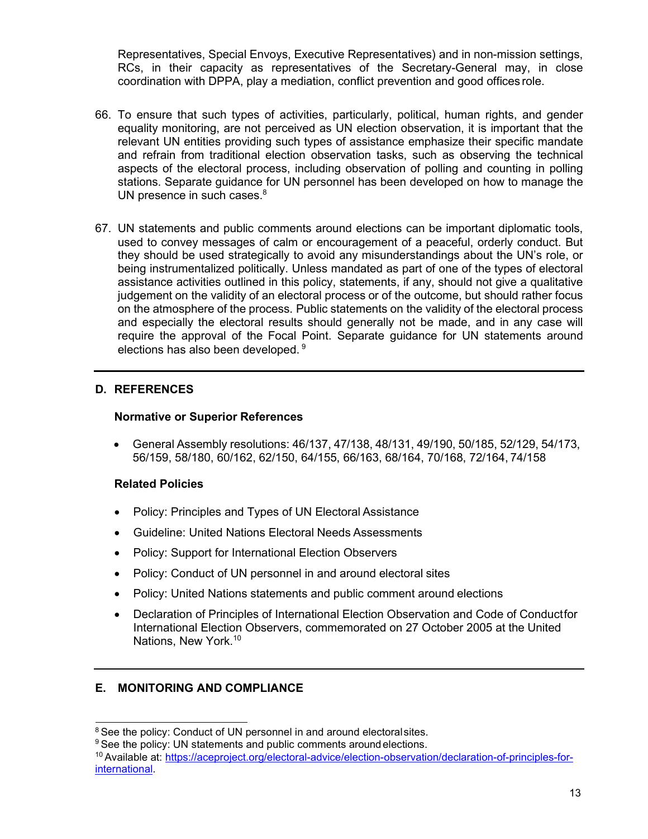Representatives, Special Envoys, Executive Representatives) and in non-mission settings, RCs, in their capacity as representatives of the Secretary-General may, in close coordination with DPPA, play a mediation, conflict prevention and good offices role.

- 66. To ensure that such types of activities, particularly, political, human rights, and gender equality monitoring, are not perceived as UN election observation, it is important that the relevant UN entities providing such types of assistance emphasize their specific mandate and refrain from traditional election observation tasks, such as observing the technical aspects of the electoral process, including observation of polling and counting in polling stations. Separate guidance for UN personnel has been developed on how to manage the UN presence in such cases. $8<sup>8</sup>$
- 67. UN statements and public comments around elections can be important diplomatic tools, used to convey messages of calm or encouragement of a peaceful, orderly conduct. But they should be used strategically to avoid any misunderstandings about the UN's role, or being instrumentalized politically. Unless mandated as part of one of the types of electoral assistance activities outlined in this policy, statements, if any, should not give a qualitative judgement on the validity of an electoral process or of the outcome, but should rather focus on the atmosphere of the process. Public statements on the validity of the electoral process and especially the electoral results should generally not be made, and in any case will require the approval of the Focal Point. Separate guidance for UN statements around elections has also been developed. 9

#### **D. REFERENCES**

#### **Normative or Superior References**

 General Assembly resolutions: 46/137, 47/138, 48/131, 49/190, 50/185, 52/129, 54/173, 56/159, 58/180, 60/162, 62/150, 64/155, 66/163, 68/164, 70/168, 72/164, 74/158

#### **Related Policies**

- Policy: Principles and Types of UN Electoral Assistance
- Guideline: United Nations Electoral Needs Assessments
- Policy: Support for International Election Observers
- Policy: Conduct of UN personnel in and around electoral sites
- Policy: United Nations statements and public comment around elections
- Declaration of Principles of International Election Observation and Code of Conductfor International Election Observers, commemorated on 27 October 2005 at the United Nations, New York.<sup>10</sup>

# **E. MONITORING AND COMPLIANCE**

<sup>&</sup>lt;sup>8</sup> See the policy: Conduct of UN personnel in and around electoral sites.

 $9$  See the policy: UN statements and public comments around elections.

<sup>10</sup> Available at: https://aceproject.org/electoral-advice/election-observation/declaration-of-principles-forinternational.